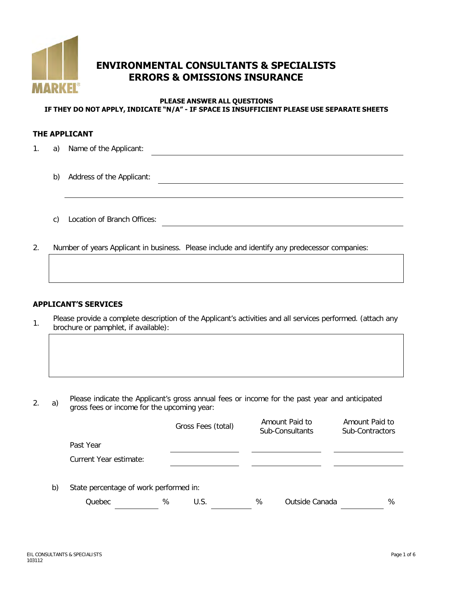

# **ENVIRONMENTAL CONSULTANTS & SPECIALISTS ERRORS & OMISSIONS INSURANCE**

#### **PLEASE ANSWER ALL QUESTIONS IF THEY DO NOT APPLY, INDICATE "N/A" - IF SPACE IS INSUFFICIENT PLEASE USE SEPARATE SHEETS**

#### **THE APPLICANT**

- 1. a) Name of the Applicant:
	- b) Address of the Applicant:
	- c) Location of Branch Offices:
- 2. Number of years Applicant in business. Please include and identify any predecessor companies:

### **APPLICANT'S SERVICES**

Please provide a complete description of the Applicant's activities and all services performed. (attach any brochure or pamphlet, if available):

2. a) Please indicate the Applicant's gross annual fees or income for the past year and anticipated gross fees or income for the upcoming year:

|    |                                        |   | Gross Fees (total) |   | Amount Paid to<br>Sub-Consultants | Amount Paid to<br>Sub-Contractors |   |
|----|----------------------------------------|---|--------------------|---|-----------------------------------|-----------------------------------|---|
|    | Past Year                              |   |                    |   |                                   |                                   |   |
|    | Current Year estimate:                 |   |                    |   |                                   |                                   |   |
|    |                                        |   |                    |   |                                   |                                   |   |
| b) | State percentage of work performed in: |   |                    |   |                                   |                                   |   |
|    | Quebec                                 | % | U.S.               | ℅ | Outside Canada                    |                                   | % |
|    |                                        |   |                    |   |                                   |                                   |   |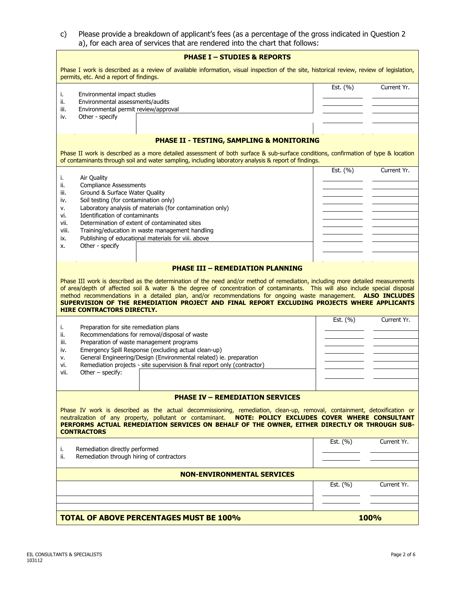| c) Please provide a breakdown of applicant's fees (as a percentage of the gross indicated in Question 2 |
|---------------------------------------------------------------------------------------------------------|
| a), for each area of services that are rendered into the chart that follows:                            |

| <b>PHASE I - STUDIES &amp; REPORTS</b>                                                                                                                                                                                                                                                                                                                                                                                                                                                                                                                    |                             |  |  |  |  |  |
|-----------------------------------------------------------------------------------------------------------------------------------------------------------------------------------------------------------------------------------------------------------------------------------------------------------------------------------------------------------------------------------------------------------------------------------------------------------------------------------------------------------------------------------------------------------|-----------------------------|--|--|--|--|--|
| Phase I work is described as a review of available information, visual inspection of the site, historical review, review of legislation,<br>permits, etc. And a report of findings.                                                                                                                                                                                                                                                                                                                                                                       |                             |  |  |  |  |  |
| Environmental impact studies<br>i.<br>Environmental assessments/audits<br>ii.<br>Environmental permit review/approval<br>iii.<br>Other - specify<br>iv.                                                                                                                                                                                                                                                                                                                                                                                                   | Est. $(% )$<br>Current Yr.  |  |  |  |  |  |
| <b>PHASE II - TESTING, SAMPLING &amp; MONITORING</b>                                                                                                                                                                                                                                                                                                                                                                                                                                                                                                      |                             |  |  |  |  |  |
| Phase II work is described as a more detailed assessment of both surface & sub-surface conditions, confirmation of type & location<br>of contaminants through soil and water sampling, including laboratory analysis & report of findings.                                                                                                                                                                                                                                                                                                                |                             |  |  |  |  |  |
| Air Quality<br>i.<br><b>Compliance Assessments</b><br>ii.<br>Ground & Surface Water Quality<br>iii.<br>Soil testing (for contamination only)<br>iv.<br>Laboratory analysis of materials (for contamination only)<br>ν.<br>Identification of contaminants<br>vi.<br>Determination of extent of contaminated sites<br>vii.<br>Training/education in waste management handling<br>viii.<br>Publishing of educational materials for viii. above<br>ix.<br>Other - specify<br>x.                                                                               | Current Yr.<br>Est. $(\% )$ |  |  |  |  |  |
| <b>PHASE III - REMEDIATION PLANNING</b><br>Phase III work is described as the determination of the need and/or method of remediation, including more detailed measurements<br>of area/depth of affected soil & water & the degree of concentration of contaminants. This will also include special disposal<br>method recommendations in a detailed plan, and/or recommendations for ongoing waste management. ALSO INCLUDES<br>SUPERVISION OF THE REMEDIATION PROJECT AND FINAL REPORT EXCLUDING PROJECTS WHERE APPLICANTS<br>HIRE CONTRACTORS DIRECTLY. |                             |  |  |  |  |  |
| Preparation for site remediation plans<br>i.<br>Recommendations for removal/disposal of waste<br>ii.<br>Preparation of waste management programs<br>iii.<br>Emergency Spill Response (excluding actual clean-up)<br>iv.<br>General Engineering/Design (Environmental related) ie. preparation<br>ν.<br>Remediation projects - site supervision & final report only (contractor)<br>vi.<br>Other $-$ specify:<br>vii.                                                                                                                                      | Est. $(% )$<br>Current Yr.  |  |  |  |  |  |
| <b>PHASE IV - REMEDIATION SERVICES</b>                                                                                                                                                                                                                                                                                                                                                                                                                                                                                                                    |                             |  |  |  |  |  |
| Phase IV work is described as the actual decommissioning, remediation, clean-up, removal, containment, detoxification or<br>neutralization of any property, pollutant or contaminant. NOTE: POLICY EXCLUDES COVER WHERE CONSULTANT<br>PERFORMS ACTUAL REMEDIATION SERVICES ON BEHALF OF THE OWNER, EITHER DIRECTLY OR THROUGH SUB-<br><b>CONTRACTORS</b>                                                                                                                                                                                                  |                             |  |  |  |  |  |
| Remediation directly performed<br>i.<br>Remediation through hiring of contractors<br>ii.                                                                                                                                                                                                                                                                                                                                                                                                                                                                  | Est. $(\% )$<br>Current Yr. |  |  |  |  |  |
| <b>NON-ENVIRONMENTAL SERVICES</b>                                                                                                                                                                                                                                                                                                                                                                                                                                                                                                                         |                             |  |  |  |  |  |
|                                                                                                                                                                                                                                                                                                                                                                                                                                                                                                                                                           | Est. (%)<br>Current Yr.     |  |  |  |  |  |
| <b>TOTAL OF ABOVE PERCENTAGES MUST BE 100%</b>                                                                                                                                                                                                                                                                                                                                                                                                                                                                                                            | 100%                        |  |  |  |  |  |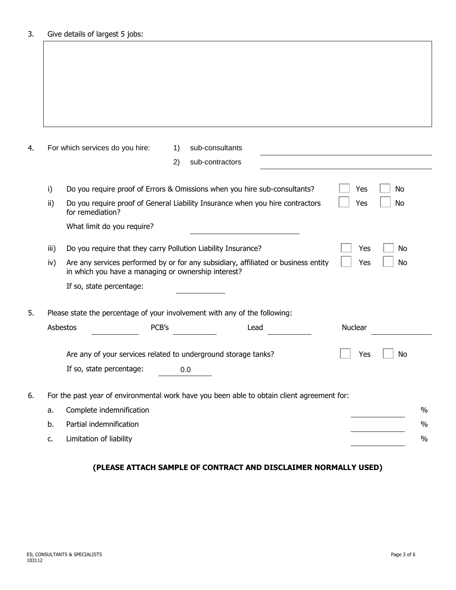|      | For which services do you hire:                                                                                                           | 1)  | sub-consultants                                                                            |         |           |
|------|-------------------------------------------------------------------------------------------------------------------------------------------|-----|--------------------------------------------------------------------------------------------|---------|-----------|
|      |                                                                                                                                           | 2)  | sub-contractors                                                                            |         |           |
| i)   |                                                                                                                                           |     | Do you require proof of Errors & Omissions when you hire sub-consultants?                  | Yes     | <b>No</b> |
| ii)  | for remediation?                                                                                                                          |     | Do you require proof of General Liability Insurance when you hire contractors              | Yes     | <b>No</b> |
|      | What limit do you require?                                                                                                                |     |                                                                                            |         |           |
| iii) | Do you require that they carry Pollution Liability Insurance?                                                                             |     |                                                                                            | Yes     | No        |
| iv)  | Are any services performed by or for any subsidiary, affiliated or business entity<br>in which you have a managing or ownership interest? |     |                                                                                            |         | No        |
|      | If so, state percentage:                                                                                                                  |     |                                                                                            |         |           |
|      | Please state the percentage of your involvement with any of the following:                                                                |     |                                                                                            |         |           |
|      | <b>Asbestos</b><br>PCB's                                                                                                                  |     | Lead                                                                                       | Nuclear |           |
|      | Are any of your services related to underground storage tanks?                                                                            |     |                                                                                            | Yes     | No        |
|      |                                                                                                                                           | 0.0 |                                                                                            |         |           |
|      | If so, state percentage:                                                                                                                  |     |                                                                                            |         |           |
|      |                                                                                                                                           |     | For the past year of environmental work have you been able to obtain client agreement for: |         |           |
| a.   | Complete indemnification                                                                                                                  |     |                                                                                            |         |           |

## **(PLEASE ATTACH SAMPLE OF CONTRACT AND DISCLAIMER NORMALLY USED)**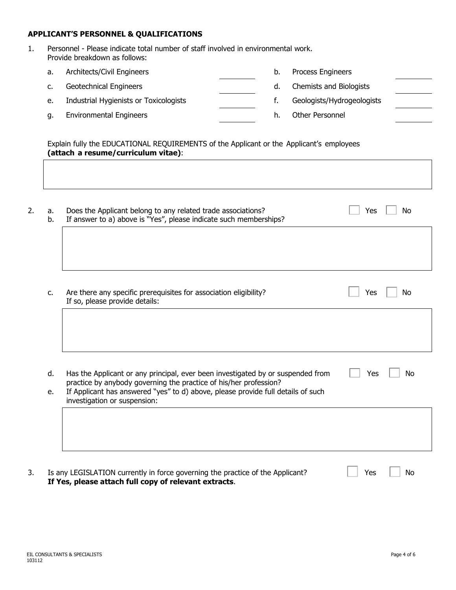## **APPLICANT'S PERSONNEL & QUALIFICATIONS**

- 1. Personnel Please indicate total number of staff involved in environmental work. Provide breakdown as follows:
	- a. Architects/Civil Engineers b. Process Engineers c. Geotechnical Engineers d. Chemists and Biologists e. Industrial Hygienists or Toxicologists and the state of the Geologists/Hydrogeologists g. Environmental Engineers h. Other Personnel

Explain fully the EDUCATIONAL REQUIREMENTS of the Applicant or the Applicant's employees **(attach a resume/curriculum vitae)**:

| a.<br>b. | Does the Applicant belong to any related trade associations?<br>If answer to a) above is "Yes", please indicate such memberships?                    | Yes<br>No |
|----------|------------------------------------------------------------------------------------------------------------------------------------------------------|-----------|
|          |                                                                                                                                                      |           |
| c.       | Are there any specific prerequisites for association eligibility?<br>If so, please provide details:                                                  | No<br>Yes |
|          |                                                                                                                                                      |           |
| d.       | Has the Applicant or any principal, ever been investigated by or suspended from<br>practice by anybody governing the practice of his/her profession? | Yes<br>No |
| e.       | If Applicant has answered "yes" to d) above, please provide full details of such<br>investigation or suspension:                                     |           |
|          |                                                                                                                                                      |           |
|          |                                                                                                                                                      |           |
|          | Is any LEGISLATION currently in force governing the practice of the Applicant?<br>If Yes, please attach full copy of relevant extracts.              | Yes<br>No |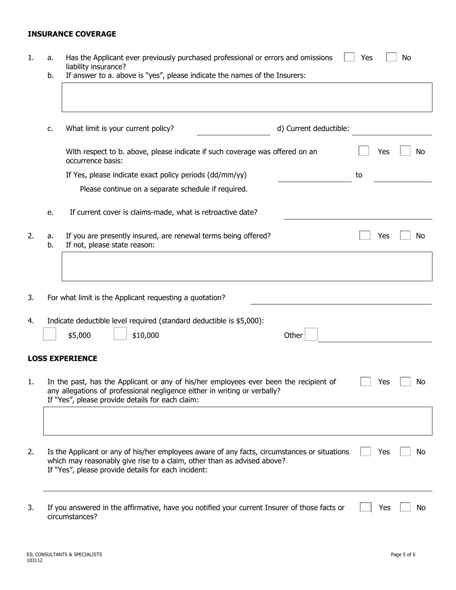## **INSURANCE COVERAGE**

| 1. | a.<br>b. | Has the Applicant ever previously purchased professional or errors and omissions<br>Yes<br>No<br>liability insurance?<br>If answer to a. above is "yes", please indicate the names of the Insurers:                            |    |     |    |  |  |  |
|----|----------|--------------------------------------------------------------------------------------------------------------------------------------------------------------------------------------------------------------------------------|----|-----|----|--|--|--|
|    |          |                                                                                                                                                                                                                                |    |     |    |  |  |  |
|    | c.       | What limit is your current policy?<br>d) Current deductible:                                                                                                                                                                   |    |     |    |  |  |  |
|    |          | With respect to b. above, please indicate if such coverage was offered on an<br>occurrence basis:                                                                                                                              |    | Yes | No |  |  |  |
|    |          | If Yes, please indicate exact policy periods (dd/mm/yy)                                                                                                                                                                        | to |     |    |  |  |  |
|    |          | Please continue on a separate schedule if required.                                                                                                                                                                            |    |     |    |  |  |  |
|    | e.       | If current cover is claims-made, what is retroactive date?                                                                                                                                                                     |    |     |    |  |  |  |
| 2. | a.<br>b. | If you are presently insured, are renewal terms being offered?<br>If not, please state reason:                                                                                                                                 |    | Yes | No |  |  |  |
|    |          |                                                                                                                                                                                                                                |    |     |    |  |  |  |
| 3. |          | For what limit is the Applicant requesting a quotation?                                                                                                                                                                        |    |     |    |  |  |  |
| 4. |          | Indicate deductible level required (standard deductible is \$5,000):                                                                                                                                                           |    |     |    |  |  |  |
|    |          | Other<br>\$5,000<br>\$10,000                                                                                                                                                                                                   |    |     |    |  |  |  |
|    |          | <b>LOSS EXPERIENCE</b>                                                                                                                                                                                                         |    |     |    |  |  |  |
|    |          | In the past, has the Applicant or any of his/her employees ever been the recipient of<br>any allegations of professional negligence either in writing or verbally?<br>If "Yes", please provide details for each claim:         |    | Yes | No |  |  |  |
|    |          |                                                                                                                                                                                                                                |    |     |    |  |  |  |
| 2. |          | Is the Applicant or any of his/her employees aware of any facts, circumstances or situations<br>which may reasonably give rise to a claim, other than as advised above?<br>If "Yes", please provide details for each incident: |    | Yes | No |  |  |  |
| 3. |          | If you answered in the affirmative, have you notified your current Insurer of those facts or<br>circumstances?                                                                                                                 |    | Yes | No |  |  |  |